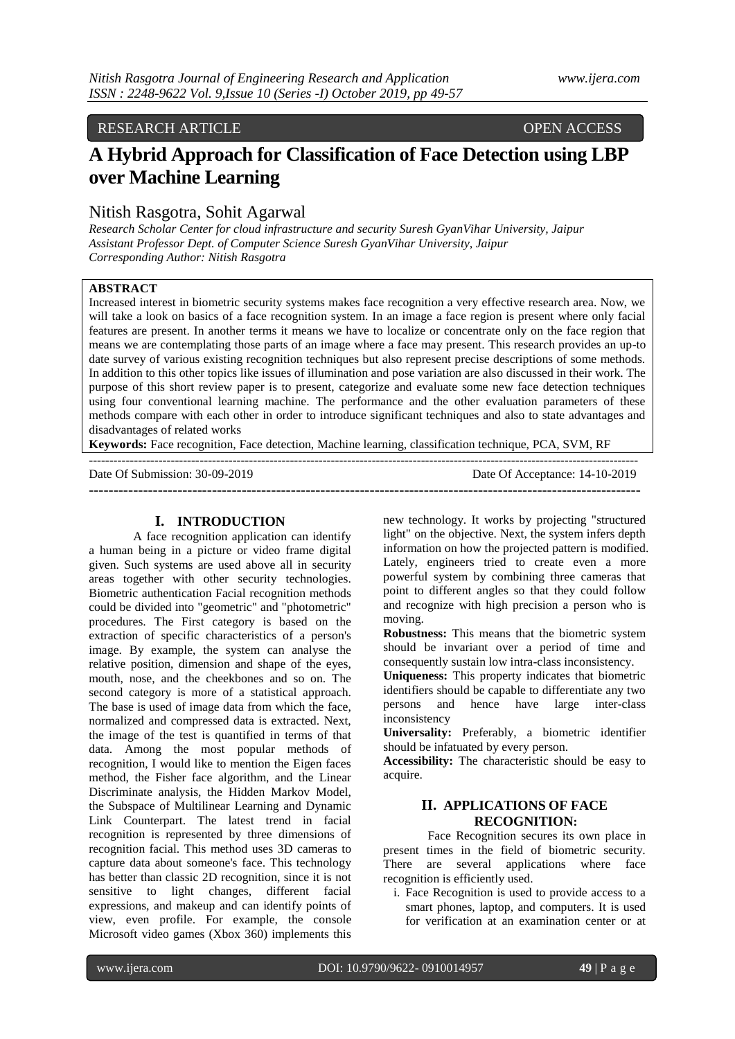# RESEARCH ARTICLE OPEN ACCESS

# **A Hybrid Approach for Classification of Face Detection using LBP over Machine Learning**

# Nitish Rasgotra, Sohit Agarwal

*Research Scholar Center for cloud infrastructure and security Suresh GyanVihar University, Jaipur Assistant Professor Dept. of Computer Science Suresh GyanVihar University, Jaipur Corresponding Author: Nitish Rasgotra*

# **ABSTRACT**

Increased interest in biometric security systems makes face recognition a very effective research area. Now, we will take a look on basics of a face recognition system. In an image a face region is present where only facial features are present. In another terms it means we have to localize or concentrate only on the face region that means we are contemplating those parts of an image where a face may present. This research provides an up-to date survey of various existing recognition techniques but also represent precise descriptions of some methods. In addition to this other topics like issues of illumination and pose variation are also discussed in their work. The purpose of this short review paper is to present, categorize and evaluate some new face detection techniques using four conventional learning machine. The performance and the other evaluation parameters of these methods compare with each other in order to introduce significant techniques and also to state advantages and disadvantages of related works

**Keywords:** Face recognition, Face detection, Machine learning, classification technique, PCA, SVM, RF

| Date Of Submission: 30-09-2019 | Date Of Acceptance: 14-10-2019 |
|--------------------------------|--------------------------------|
|                                |                                |
|                                |                                |

#### **I. INTRODUCTION**

A face recognition application can identify a human being in a picture or video frame digital given. Such systems are used above all in security areas together with other security technologies. Biometric authentication Facial recognition methods could be divided into "geometric" and "photometric" procedures. The First category is based on the extraction of specific characteristics of a person's image. By example, the system can analyse the relative position, dimension and shape of the eyes, mouth, nose, and the cheekbones and so on. The second category is more of a statistical approach. The base is used of image data from which the face, normalized and compressed data is extracted. Next, the image of the test is quantified in terms of that data. Among the most popular methods of recognition, I would like to mention the Eigen faces method, the Fisher face algorithm, and the Linear Discriminate analysis, the Hidden Markov Model, the Subspace of Multilinear Learning and Dynamic Link Counterpart. The latest trend in facial recognition is represented by three dimensions of recognition facial. This method uses 3D cameras to capture data about someone's face. This technology has better than classic 2D recognition, since it is not sensitive to light changes, different facial expressions, and makeup and can identify points of view, even profile. For example, the console Microsoft video games (Xbox 360) implements this

new technology. It works by projecting "structured light" on the objective. Next, the system infers depth information on how the projected pattern is modified. Lately, engineers tried to create even a more powerful system by combining three cameras that point to different angles so that they could follow and recognize with high precision a person who is moving.

**Robustness:** This means that the biometric system should be invariant over a period of time and consequently sustain low intra-class inconsistency.

**Uniqueness:** This property indicates that biometric identifiers should be capable to differentiate any two persons and hence have large inter-class inconsistency

**Universality:** Preferably, a biometric identifier should be infatuated by every person.

**Accessibility:** The characteristic should be easy to acquire.

# **II. APPLICATIONS OF FACE RECOGNITION:**

Face Recognition secures its own place in present times in the field of biometric security. There are several applications where face recognition is efficiently used.

i. Face Recognition is used to provide access to a smart phones, laptop, and computers. It is used for verification at an examination center or at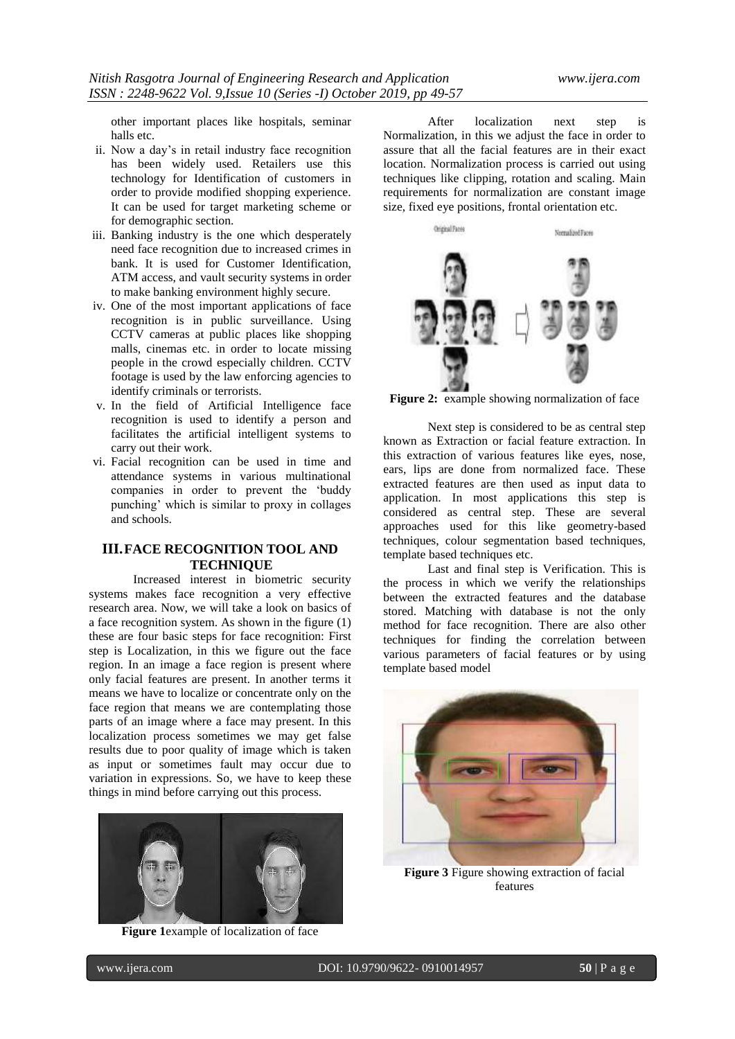other important places like hospitals, seminar halls etc.

- ii. Now a day"s in retail industry face recognition has been widely used. Retailers use this technology for Identification of customers in order to provide modified shopping experience. It can be used for target marketing scheme or for demographic section.
- iii. Banking industry is the one which desperately need face recognition due to increased crimes in bank. It is used for Customer Identification, ATM access, and vault security systems in order to make banking environment highly secure.
- iv. One of the most important applications of face recognition is in public surveillance. Using CCTV cameras at public places like shopping malls, cinemas etc. in order to locate missing people in the crowd especially children. CCTV footage is used by the law enforcing agencies to identify criminals or terrorists.
- v. In the field of Artificial Intelligence face recognition is used to identify a person and facilitates the artificial intelligent systems to carry out their work.
- vi. Facial recognition can be used in time and attendance systems in various multinational companies in order to prevent the "buddy punching" which is similar to proxy in collages and schools.

# **III.FACE RECOGNITION TOOL AND TECHNIQUE**

Increased interest in biometric security systems makes face recognition a very effective research area. Now, we will take a look on basics of a face recognition system. As shown in the figure (1) these are four basic steps for face recognition: First step is Localization, in this we figure out the face region. In an image a face region is present where only facial features are present. In another terms it means we have to localize or concentrate only on the face region that means we are contemplating those parts of an image where a face may present. In this localization process sometimes we may get false results due to poor quality of image which is taken as input or sometimes fault may occur due to variation in expressions. So, we have to keep these things in mind before carrying out this process.



**Figure 1**example of localization of face

After localization next step is Normalization, in this we adjust the face in order to assure that all the facial features are in their exact location. Normalization process is carried out using techniques like clipping, rotation and scaling. Main requirements for normalization are constant image size, fixed eye positions, frontal orientation etc.



**Figure 2:** example showing normalization of face

Next step is considered to be as central step known as Extraction or facial feature extraction. In this extraction of various features like eyes, nose, ears, lips are done from normalized face. These extracted features are then used as input data to application. In most applications this step is considered as central step. These are several approaches used for this like geometry-based techniques, colour segmentation based techniques, template based techniques etc.

Last and final step is Verification. This is the process in which we verify the relationships between the extracted features and the database stored. Matching with database is not the only method for face recognition. There are also other techniques for finding the correlation between various parameters of facial features or by using template based model



**Figure 3** Figure showing extraction of facial features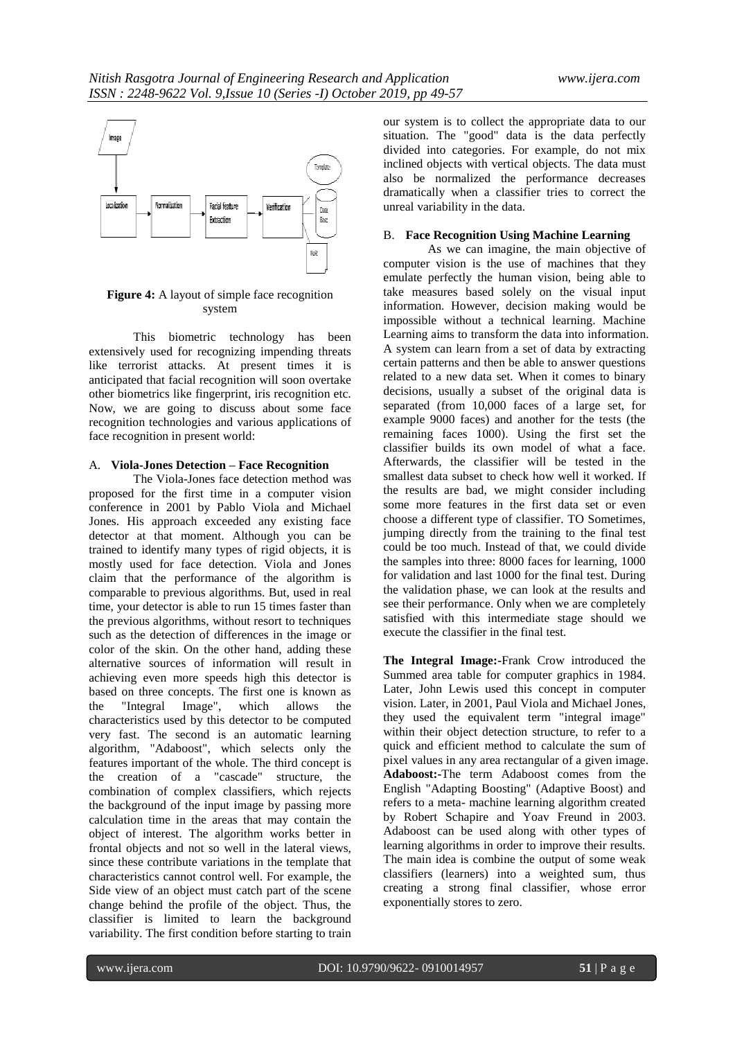

**Figure 4:** A layout of simple face recognition system

This biometric technology has been extensively used for recognizing impending threats like terrorist attacks. At present times it is anticipated that facial recognition will soon overtake other biometrics like fingerprint, iris recognition etc. Now, we are going to discuss about some face recognition technologies and various applications of face recognition in present world:

# A. **Viola-Jones Detection – Face Recognition**

The Viola-Jones face detection method was proposed for the first time in a computer vision conference in 2001 by Pablo Viola and Michael Jones. His approach exceeded any existing face detector at that moment. Although you can be trained to identify many types of rigid objects, it is mostly used for face detection. Viola and Jones claim that the performance of the algorithm is comparable to previous algorithms. But, used in real time, your detector is able to run 15 times faster than the previous algorithms, without resort to techniques such as the detection of differences in the image or color of the skin. On the other hand, adding these alternative sources of information will result in achieving even more speeds high this detector is based on three concepts. The first one is known as the "Integral Image", which allows the characteristics used by this detector to be computed very fast. The second is an automatic learning algorithm, "Adaboost", which selects only the features important of the whole. The third concept is the creation of a "cascade" structure, the combination of complex classifiers, which rejects the background of the input image by passing more calculation time in the areas that may contain the object of interest. The algorithm works better in frontal objects and not so well in the lateral views, since these contribute variations in the template that characteristics cannot control well. For example, the Side view of an object must catch part of the scene change behind the profile of the object. Thus, the classifier is limited to learn the background variability. The first condition before starting to train

our system is to collect the appropriate data to our situation. The "good" data is the data perfectly divided into categories. For example, do not mix inclined objects with vertical objects. The data must also be normalized the performance decreases dramatically when a classifier tries to correct the unreal variability in the data.

#### B. **Face Recognition Using Machine Learning**

As we can imagine, the main objective of computer vision is the use of machines that they emulate perfectly the human vision, being able to take measures based solely on the visual input information. However, decision making would be impossible without a technical learning. Machine Learning aims to transform the data into information. A system can learn from a set of data by extracting certain patterns and then be able to answer questions related to a new data set. When it comes to binary decisions, usually a subset of the original data is separated (from 10,000 faces of a large set, for example 9000 faces) and another for the tests (the remaining faces 1000). Using the first set the classifier builds its own model of what a face. Afterwards, the classifier will be tested in the smallest data subset to check how well it worked. If the results are bad, we might consider including some more features in the first data set or even choose a different type of classifier. TO Sometimes, jumping directly from the training to the final test could be too much. Instead of that, we could divide the samples into three: 8000 faces for learning, 1000 for validation and last 1000 for the final test. During the validation phase, we can look at the results and see their performance. Only when we are completely satisfied with this intermediate stage should we execute the classifier in the final test.

**The Integral Image:-**Frank Crow introduced the Summed area table for computer graphics in 1984. Later, John Lewis used this concept in computer vision. Later, in 2001, Paul Viola and Michael Jones, they used the equivalent term "integral image" within their object detection structure, to refer to a quick and efficient method to calculate the sum of pixel values in any area rectangular of a given image. **Adaboost:-**The term Adaboost comes from the English "Adapting Boosting" (Adaptive Boost) and refers to a meta- machine learning algorithm created by Robert Schapire and Yoav Freund in 2003. Adaboost can be used along with other types of learning algorithms in order to improve their results. The main idea is combine the output of some weak classifiers (learners) into a weighted sum, thus creating a strong final classifier, whose error exponentially stores to zero.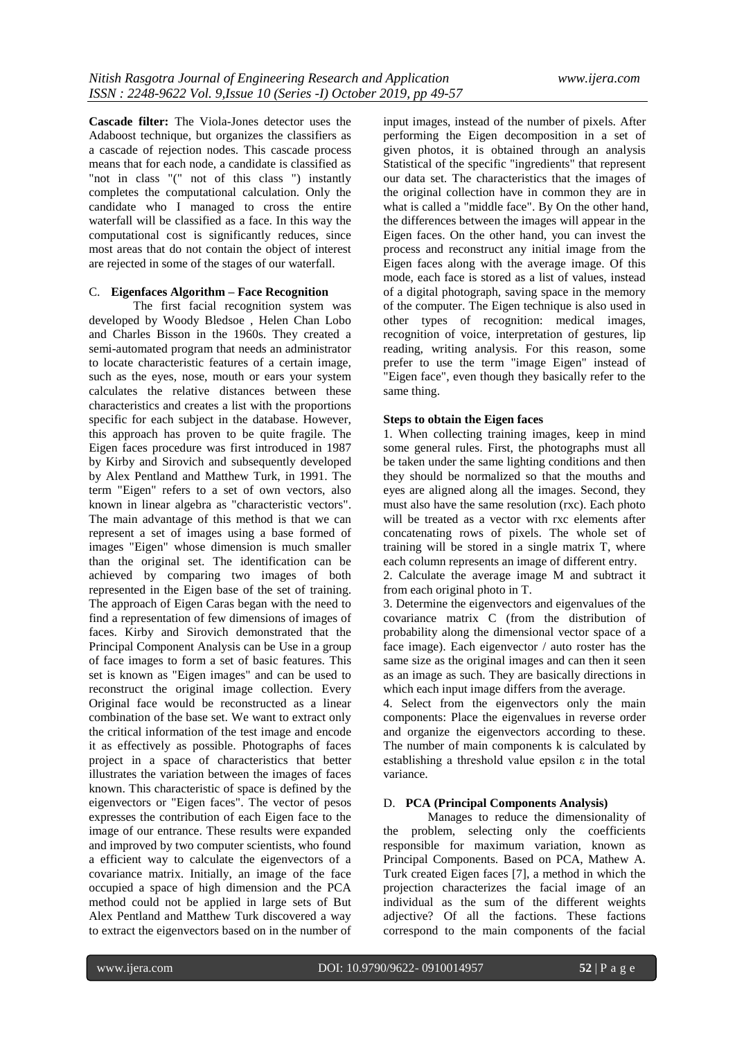**Cascade filter:** The Viola-Jones detector uses the Adaboost technique, but organizes the classifiers as a cascade of rejection nodes. This cascade process means that for each node, a candidate is classified as "not in class "(" not of this class ") instantly completes the computational calculation. Only the candidate who I managed to cross the entire waterfall will be classified as a face. In this way the computational cost is significantly reduces, since most areas that do not contain the object of interest are rejected in some of the stages of our waterfall.

# C. **Eigenfaces Algorithm – Face Recognition**

The first facial recognition system was developed by Woody Bledsoe , Helen Chan Lobo and Charles Bisson in the 1960s. They created a semi-automated program that needs an administrator to locate characteristic features of a certain image, such as the eyes, nose, mouth or ears your system calculates the relative distances between these characteristics and creates a list with the proportions specific for each subject in the database. However, this approach has proven to be quite fragile. The Eigen faces procedure was first introduced in 1987 by Kirby and Sirovich and subsequently developed by Alex Pentland and Matthew Turk, in 1991. The term "Eigen" refers to a set of own vectors, also known in linear algebra as "characteristic vectors". The main advantage of this method is that we can represent a set of images using a base formed of images "Eigen" whose dimension is much smaller than the original set. The identification can be achieved by comparing two images of both represented in the Eigen base of the set of training. The approach of Eigen Caras began with the need to find a representation of few dimensions of images of faces. Kirby and Sirovich demonstrated that the Principal Component Analysis can be Use in a group of face images to form a set of basic features. This set is known as "Eigen images" and can be used to reconstruct the original image collection. Every Original face would be reconstructed as a linear combination of the base set. We want to extract only the critical information of the test image and encode it as effectively as possible. Photographs of faces project in a space of characteristics that better illustrates the variation between the images of faces known. This characteristic of space is defined by the eigenvectors or "Eigen faces". The vector of pesos expresses the contribution of each Eigen face to the image of our entrance. These results were expanded and improved by two computer scientists, who found a efficient way to calculate the eigenvectors of a covariance matrix. Initially, an image of the face occupied a space of high dimension and the PCA method could not be applied in large sets of But Alex Pentland and Matthew Turk discovered a way to extract the eigenvectors based on in the number of

input images, instead of the number of pixels. After performing the Eigen decomposition in a set of given photos, it is obtained through an analysis Statistical of the specific "ingredients" that represent our data set. The characteristics that the images of the original collection have in common they are in what is called a "middle face". By On the other hand, the differences between the images will appear in the Eigen faces. On the other hand, you can invest the process and reconstruct any initial image from the Eigen faces along with the average image. Of this mode, each face is stored as a list of values, instead of a digital photograph, saving space in the memory of the computer. The Eigen technique is also used in other types of recognition: medical images, recognition of voice, interpretation of gestures, lip reading, writing analysis. For this reason, some prefer to use the term "image Eigen" instead of "Eigen face", even though they basically refer to the same thing.

#### **Steps to obtain the Eigen faces**

1. When collecting training images, keep in mind some general rules. First, the photographs must all be taken under the same lighting conditions and then they should be normalized so that the mouths and eyes are aligned along all the images. Second, they must also have the same resolution (rxc). Each photo will be treated as a vector with rxc elements after concatenating rows of pixels. The whole set of training will be stored in a single matrix T, where each column represents an image of different entry.

2. Calculate the average image M and subtract it from each original photo in T.

3. Determine the eigenvectors and eigenvalues of the covariance matrix C (from the distribution of probability along the dimensional vector space of a face image). Each eigenvector / auto roster has the same size as the original images and can then it seen as an image as such. They are basically directions in which each input image differs from the average.

4. Select from the eigenvectors only the main components: Place the eigenvalues in reverse order and organize the eigenvectors according to these. The number of main components k is calculated by establishing a threshold value epsilon ε in the total variance.

# D. **PCA (Principal Components Analysis)**

Manages to reduce the dimensionality of the problem, selecting only the coefficients responsible for maximum variation, known as Principal Components. Based on PCA, Mathew A. Turk created Eigen faces [7], a method in which the projection characterizes the facial image of an individual as the sum of the different weights adjective? Of all the factions. These factions correspond to the main components of the facial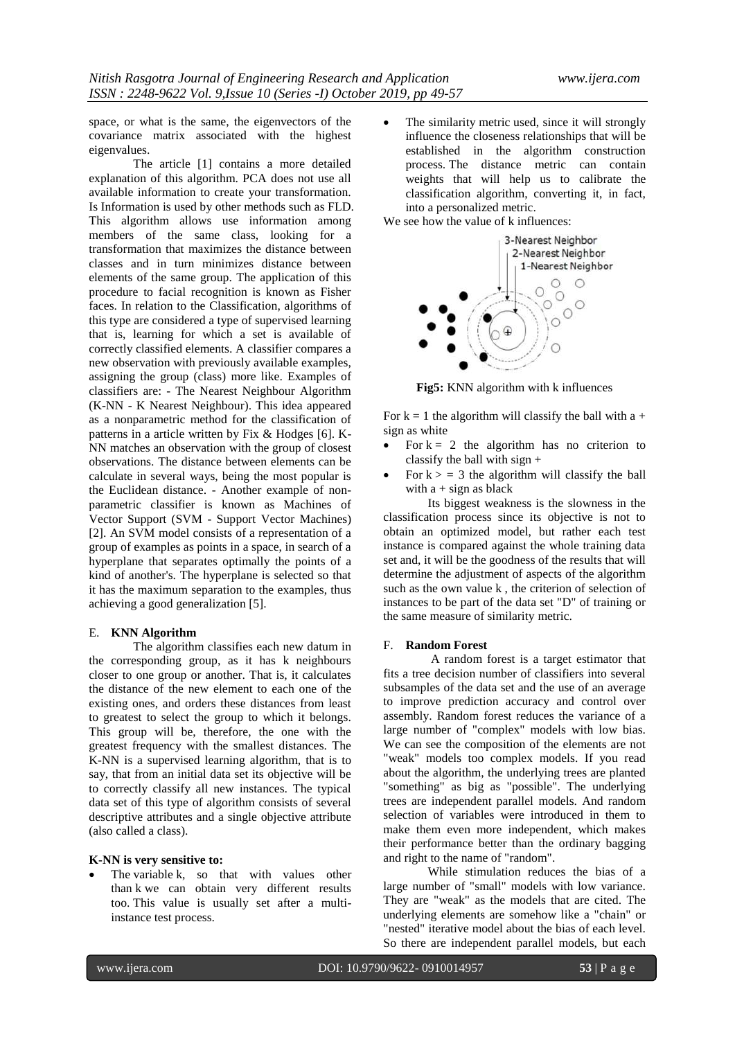space, or what is the same, the eigenvectors of the covariance matrix associated with the highest eigenvalues.

The article [1] contains a more detailed explanation of this algorithm. PCA does not use all available information to create your transformation. Is Information is used by other methods such as FLD. This algorithm allows use information among members of the same class, looking for a transformation that maximizes the distance between classes and in turn minimizes distance between elements of the same group. The application of this procedure to facial recognition is known as Fisher faces. In relation to the Classification, algorithms of this type are considered a type of supervised learning that is, learning for which a set is available of correctly classified elements. A classifier compares a new observation with previously available examples, assigning the group (class) more like. Examples of classifiers are: - The Nearest Neighbour Algorithm (K-NN - K Nearest Neighbour). This idea appeared as a nonparametric method for the classification of patterns in a article written by Fix & Hodges [6]. K-NN matches an observation with the group of closest observations. The distance between elements can be calculate in several ways, being the most popular is the Euclidean distance. - Another example of nonparametric classifier is known as Machines of Vector Support (SVM - Support Vector Machines) [2]. An SVM model consists of a representation of a group of examples as points in a space, in search of a hyperplane that separates optimally the points of a kind of another's. The hyperplane is selected so that it has the maximum separation to the examples, thus achieving a good generalization [5].

#### E. **KNN Algorithm**

The algorithm classifies each new datum in the corresponding group, as it has k neighbours closer to one group or another. That is, it calculates the distance of the new element to each one of the existing ones, and orders these distances from least to greatest to select the group to which it belongs. This group will be, therefore, the one with the greatest frequency with the smallest distances. The K-NN is a supervised learning algorithm, that is to say, that from an initial data set its objective will be to correctly classify all new instances. The typical data set of this type of algorithm consists of several descriptive attributes and a single objective attribute (also called a class).

### **K-NN is very sensitive to:**

 The variable k, so that with values other than k we can obtain very different results too. This value is usually set after a multiinstance test process.

 The similarity metric used, since it will strongly influence the closeness relationships that will be established in the algorithm construction process. The distance metric can contain weights that will help us to calibrate the classification algorithm, converting it, in fact, into a personalized metric.

We see how the value of k influences:



**Fig5:** KNN algorithm with k influences

For  $k = 1$  the algorithm will classify the ball with a + sign as white

- For  $k = 2$  the algorithm has no criterion to classify the ball with sign +
- For  $k > 3$  the algorithm will classify the ball with  $a + sign$  as black

Its biggest weakness is the slowness in the classification process since its objective is not to obtain an optimized model, but rather each test instance is compared against the whole training data set and, it will be the goodness of the results that will determine the adjustment of aspects of the algorithm such as the own value k , the criterion of selection of instances to be part of the data set "D" of training or the same measure of similarity metric.

#### F. **Random Forest**

A random forest is a target estimator that fits a tree decision number of classifiers into several subsamples of the data set and the use of an average to improve prediction accuracy and control over assembly. Random forest reduces the variance of a large number of "complex" models with low bias. We can see the composition of the elements are not "weak" models too complex models. If you read about the algorithm, the underlying trees are planted "something" as big as "possible". The underlying trees are independent parallel models. And random selection of variables were introduced in them to make them even more independent, which makes their performance better than the ordinary bagging and right to the name of "random".

While stimulation reduces the bias of a large number of "small" models with low variance. They are "weak" as the models that are cited. The underlying elements are somehow like a "chain" or "nested" iterative model about the bias of each level. So there are independent parallel models, but each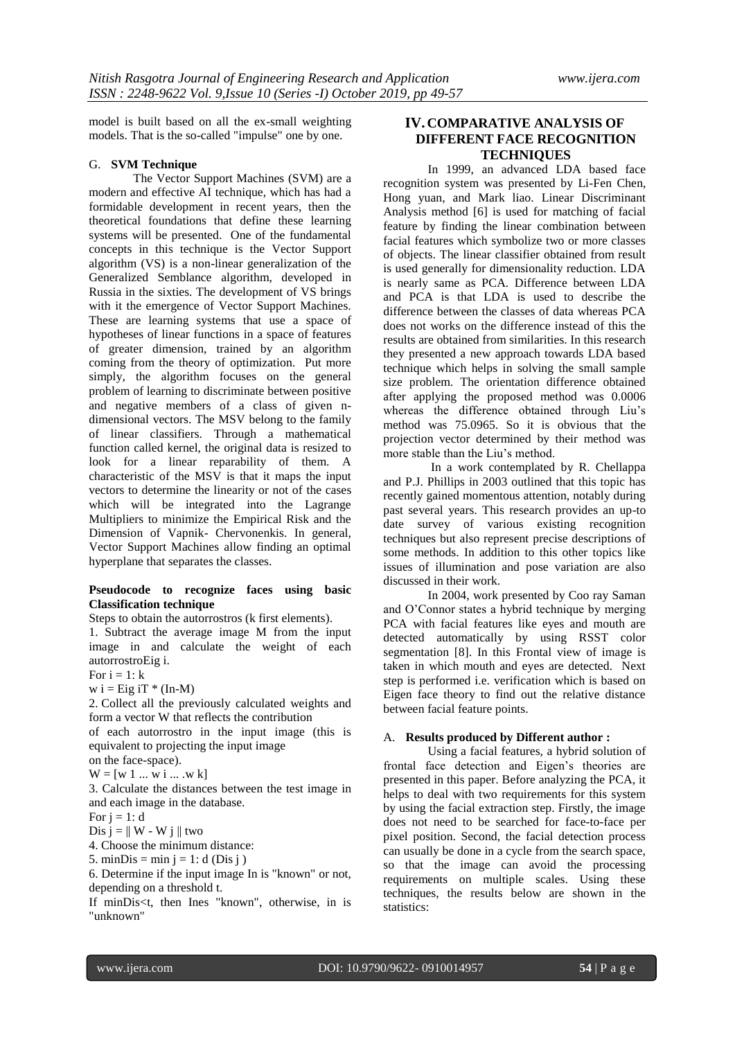model is built based on all the ex-small weighting models. That is the so-called "impulse" one by one.

#### G. **SVM Technique**

The Vector Support Machines (SVM) are a modern and effective AI technique, which has had a formidable development in recent years, then the theoretical foundations that define these learning systems will be presented. One of the fundamental concepts in this technique is the Vector Support algorithm (VS) is a non-linear generalization of the Generalized Semblance algorithm, developed in Russia in the sixties. The development of VS brings with it the emergence of Vector Support Machines. These are learning systems that use a space of hypotheses of linear functions in a space of features of greater dimension, trained by an algorithm coming from the theory of optimization. Put more simply, the algorithm focuses on the general problem of learning to discriminate between positive and negative members of a class of given ndimensional vectors. The MSV belong to the family of linear classifiers. Through a mathematical function called kernel, the original data is resized to look for a linear reparability of them. A characteristic of the MSV is that it maps the input vectors to determine the linearity or not of the cases which will be integrated into the Lagrange Multipliers to minimize the Empirical Risk and the Dimension of Vapnik- Chervonenkis. In general, Vector Support Machines allow finding an optimal hyperplane that separates the classes.

## **Pseudocode to recognize faces using basic Classification technique**

Steps to obtain the autorrostros (k first elements). 1. Subtract the average image M from the input image in and calculate the weight of each autorrostroEig i.

For  $i = 1$ :  $k$ 

 $w i = Eig iT * (In-M)$ 

2. Collect all the previously calculated weights and form a vector W that reflects the contribution

of each autorrostro in the input image (this is equivalent to projecting the input image

on the face-space).

 $W = [w 1 ... w i ... w k]$ 

3. Calculate the distances between the test image in and each image in the database.

For  $i = 1$ : d

Dis  $j = || W - W i ||$  two

4. Choose the minimum distance:

5. minDis = min  $i = 1$ : d (Dis i)

6. Determine if the input image In is "known" or not, depending on a threshold t.

If minDis<t, then Ines "known", otherwise, in is "unknown"

# **IV. COMPARATIVE ANALYSIS OF DIFFERENT FACE RECOGNITION TECHNIQUES**

In 1999, an advanced LDA based face recognition system was presented by Li-Fen Chen, Hong yuan, and Mark liao. Linear Discriminant Analysis method [6] is used for matching of facial feature by finding the linear combination between facial features which symbolize two or more classes of objects. The linear classifier obtained from result is used generally for dimensionality reduction. LDA is nearly same as PCA. Difference between LDA and PCA is that LDA is used to describe the difference between the classes of data whereas PCA does not works on the difference instead of this the results are obtained from similarities. In this research they presented a new approach towards LDA based technique which helps in solving the small sample size problem. The orientation difference obtained after applying the proposed method was 0.0006 whereas the difference obtained through Liu's method was 75.0965. So it is obvious that the projection vector determined by their method was more stable than the Liu"s method.

In a work contemplated by R. Chellappa and P.J. Phillips in 2003 outlined that this topic has recently gained momentous attention, notably during past several years. This research provides an up-to date survey of various existing recognition techniques but also represent precise descriptions of some methods. In addition to this other topics like issues of illumination and pose variation are also discussed in their work.

In 2004, work presented by Coo ray Saman and O"Connor states a hybrid technique by merging PCA with facial features like eyes and mouth are detected automatically by using RSST color segmentation [8]. In this Frontal view of image is taken in which mouth and eyes are detected. Next step is performed i.e. verification which is based on Eigen face theory to find out the relative distance between facial feature points.

# A. **Results produced by Different author :**

Using a facial features, a hybrid solution of frontal face detection and Eigen"s theories are presented in this paper. Before analyzing the PCA, it helps to deal with two requirements for this system by using the facial extraction step. Firstly, the image does not need to be searched for face-to-face per pixel position. Second, the facial detection process can usually be done in a cycle from the search space, so that the image can avoid the processing requirements on multiple scales. Using these techniques, the results below are shown in the statistics: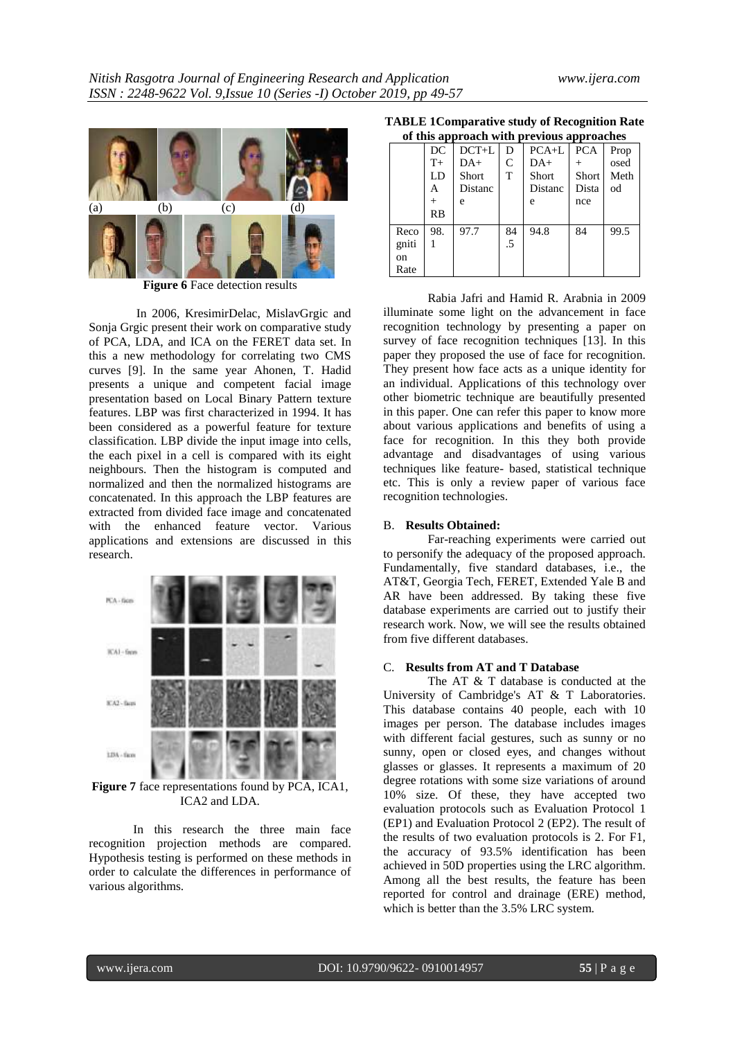

**Figure 6** Face detection results

In 2006, KresimirDelac, MislavGrgic and Sonja Grgic present their work on comparative study of PCA, LDA, and ICA on the FERET data set. In this a new methodology for correlating two CMS curves [9]. In the same year Ahonen, T. Hadid presents a unique and competent facial image presentation based on Local Binary Pattern texture features. LBP was first characterized in 1994. It has been considered as a powerful feature for texture classification. LBP divide the input image into cells, the each pixel in a cell is compared with its eight neighbours. Then the histogram is computed and normalized and then the normalized histograms are concatenated. In this approach the LBP features are extracted from divided face image and concatenated with the enhanced feature vector. Various applications and extensions are discussed in this research.



**Figure 7** face representations found by PCA, ICA1, ICA2 and LDA.

In this research the three main face recognition projection methods are compared. Hypothesis testing is performed on these methods in order to calculate the differences in performance of various algorithms.

**TABLE 1Comparative study of Recognition Rate of this approach with previous approaches**

|       |                | of this approach with previous approaches |    |         |            |      |
|-------|----------------|-------------------------------------------|----|---------|------------|------|
|       | DC             | $DCT+L$                                   | D  | $PCA+L$ | <b>PCA</b> | Prop |
|       | $T+$           | DA+                                       | C  | DA+     |            | osed |
|       | LD             | Short                                     | T  | Short   | Short      | Meth |
|       | А              | Distanc                                   |    | Distanc | Dista      | od   |
|       | $\overline{+}$ | e                                         |    | e       | nce        |      |
|       | RB             |                                           |    |         |            |      |
| Reco  | 98.            | 97.7                                      | 84 | 94.8    | 84         | 99.5 |
| gniti |                |                                           | .5 |         |            |      |
| on    |                |                                           |    |         |            |      |
| Rate  |                |                                           |    |         |            |      |

Rabia Jafri and Hamid R. Arabnia in 2009 illuminate some light on the advancement in face recognition technology by presenting a paper on survey of face recognition techniques [13]. In this paper they proposed the use of face for recognition. They present how face acts as a unique identity for an individual. Applications of this technology over other biometric technique are beautifully presented in this paper. One can refer this paper to know more about various applications and benefits of using a face for recognition. In this they both provide advantage and disadvantages of using various techniques like feature- based, statistical technique etc. This is only a review paper of various face recognition technologies.

### B. **Results Obtained:**

Far-reaching experiments were carried out to personify the adequacy of the proposed approach. Fundamentally, five standard databases, i.e., the AT&T, Georgia Tech, FERET, Extended Yale B and AR have been addressed. By taking these five database experiments are carried out to justify their research work. Now, we will see the results obtained from five different databases.

#### C. **Results from AT and T Database**

The AT & T database is conducted at the University of Cambridge's AT & T Laboratories. This database contains 40 people, each with 10 images per person. The database includes images with different facial gestures, such as sunny or no sunny, open or closed eyes, and changes without glasses or glasses. It represents a maximum of 20 degree rotations with some size variations of around 10% size. Of these, they have accepted two evaluation protocols such as Evaluation Protocol 1 (EP1) and Evaluation Protocol 2 (EP2). The result of the results of two evaluation protocols is 2. For F1, the accuracy of 93.5% identification has been achieved in 50D properties using the LRC algorithm. Among all the best results, the feature has been reported for control and drainage (ERE) method, which is better than the 3.5% LRC system.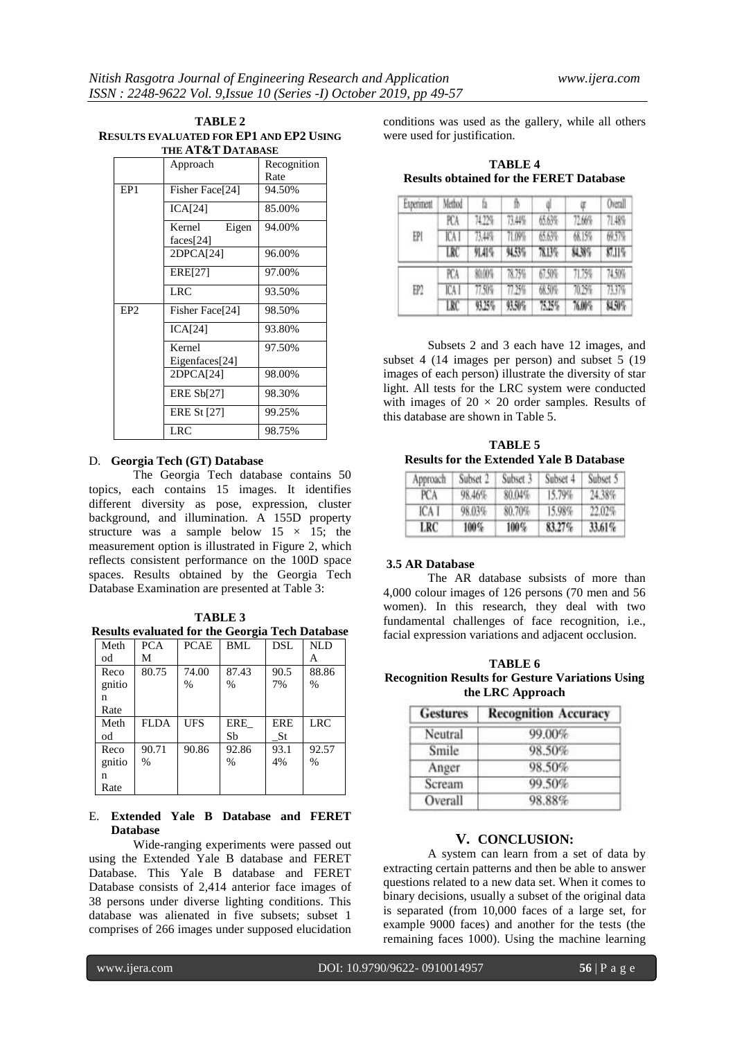| TABLE 2                                 |
|-----------------------------------------|
| RESULTS EVALUATED FOR EP1 AND EP2 USING |
| THE AT&T DATABASE                       |

|                 | Approach                        | Recognition<br>Rate |
|-----------------|---------------------------------|---------------------|
| EP <sub>1</sub> | Fisher Face <sup>[24]</sup>     | 94.50%              |
|                 | ICA[24]                         | 85.00%              |
|                 | Kernel<br>Eigen<br>faces $[24]$ | 94.00%              |
|                 | 2DPCA[24]                       | 96.00%              |
|                 | ERE[27]                         | 97.00%              |
|                 | LRC                             | 93.50%              |
| EP <sub>2</sub> | Fisher Face <sup>[24]</sup>     | 98.50%              |
|                 | ICA[24]                         | 93.80%              |
|                 | Kernel<br>Eigenfaces[24]        | 97.50%              |
|                 | 2DPCA[24]                       | 98.00%              |
|                 | <b>ERE Sb[27]</b>               | 98.30%              |
|                 | <b>ERE St [27]</b>              | 99.25%              |
|                 | <b>LRC</b>                      | 98.75%              |

#### D. **Georgia Tech (GT) Database**

The Georgia Tech database contains 50 topics, each contains 15 images. It identifies different diversity as pose, expression, cluster background, and illumination. A 155D property structure was a sample below  $15 \times 15$ ; the measurement option is illustrated in Figure 2, which reflects consistent performance on the 100D space spaces. Results obtained by the Georgia Tech Database Examination are presented at Table 3:

**TABLE 3 Results evaluated for the Georgia Tech Database**

| Meth   | <b>PCA</b>  | <b>PCAE</b> | BML           | DSL        | <b>NLD</b> |
|--------|-------------|-------------|---------------|------------|------------|
| od     | М           |             |               |            | А          |
| Reco   | 80.75       | 74.00       | 87.43         | 90.5       | 88.86      |
| gnitio |             | %           | $\frac{0}{0}$ | 7%         | %          |
| n      |             |             |               |            |            |
| Rate   |             |             |               |            |            |
|        |             |             |               |            |            |
| Meth   | <b>FLDA</b> | UFS         | ERE           | <b>ERE</b> | <b>LRC</b> |
| od     |             |             | Sb            | <b>St</b>  |            |
| Reco   | 90.71       | 90.86       | 92.86         | 93.1       | 92.57      |
| gnitio | $\%$        |             | $\frac{0}{0}$ | 4%         | %          |
| n      |             |             |               |            |            |

# E. **Extended Yale B Database and FERET Database**

Wide-ranging experiments were passed out using the Extended Yale B database and FERET Database. This Yale B database and FERET Database consists of 2,414 anterior face images of 38 persons under diverse lighting conditions. This database was alienated in five subsets; subset 1 comprises of 266 images under supposed elucidation

conditions was used as the gallery, while all others were used for justification.

**TABLE 4 Results obtained for the FERET Database**

| Experiment | Method | ħ.     | Ïħ     |        |        | Overall  |
|------------|--------|--------|--------|--------|--------|----------|
|            | FСA    | 74.779 | 71340  | 65.6%  | 72.66% | 71.48%   |
| EPI        | ICA I  | 73.48% | 71.09% | 65.67% | 68.15% | 预控       |
|            | LRC    | 91.41% | 94.5%  | 78.13% | 84.38% | 87.11%   |
|            | PCA    | 80.00% | 78.75% | 67.50% | 71.75% | 74,50%   |
| EP?        | ICA I  | 77.50% | 77.75% | 68,50% | 狼海     | $-71376$ |
|            | LRC    | 9.25%  | 照射     | 75.25% | 76.00% | 84.9%    |

Subsets 2 and 3 each have 12 images, and subset 4 (14 images per person) and subset 5 (19 images of each person) illustrate the diversity of star light. All tests for the LRC system were conducted with images of  $20 \times 20$  order samples. Results of this database are shown in Table 5.

**TABLE 5 Results for the Extended Yale B Database**

| Approach | Subset 2 | Subset 3 | Subset 4 | Subset 5 |
|----------|----------|----------|----------|----------|
| PCA      | 98.46%   | 80.04%   | 15.79%   | 24.38%   |
| ICA I    | 98.03%   | 80.70%   | 15.98%   | 22.02%   |
| LRC      | $100\%$  | $100\%$  | 83.27%   | 33.61%   |

# **3.5 AR Database**

The AR database subsists of more than 4,000 colour images of 126 persons (70 men and 56 women). In this research, they deal with two fundamental challenges of face recognition, i.e., facial expression variations and adjacent occlusion.

**TABLE 6 Recognition Results for Gesture Variations Using the LRC Approach**

| <b>Gestures</b> | <b>Recognition Accuracy</b> |
|-----------------|-----------------------------|
| Neutral         | 99.00%                      |
| Smile           | 98.50%                      |
| Anger           | 98.50%                      |
| Scream          | 99.50%                      |
| Overall         | 98.88%                      |

# **V. CONCLUSION:**

A system can learn from a set of data by extracting certain patterns and then be able to answer questions related to a new data set. When it comes to binary decisions, usually a subset of the original data is separated (from 10,000 faces of a large set, for example 9000 faces) and another for the tests (the remaining faces 1000). Using the machine learning